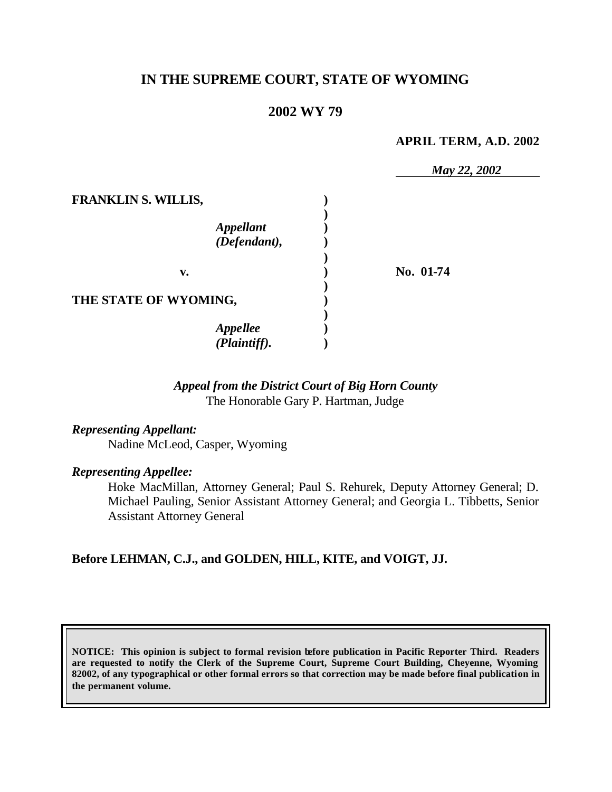## **IN THE SUPREME COURT, STATE OF WYOMING**

### **2002 WY 79**

#### **APRIL TERM, A.D. 2002**

|                                                                | May 22, 2002 |
|----------------------------------------------------------------|--------------|
| <b>FRANKLIN S. WILLIS,</b><br><b>Appellant</b><br>(Defendant), |              |
| v.                                                             | No. 01-74    |
| THE STATE OF WYOMING,                                          |              |
| <b>Appellee</b><br>(Plaintiff).                                |              |

### *Appeal from the District Court of Big Horn County* The Honorable Gary P. Hartman, Judge

### *Representing Appellant:*

Nadine McLeod, Casper, Wyoming

#### *Representing Appellee:*

Hoke MacMillan, Attorney General; Paul S. Rehurek, Deputy Attorney General; D. Michael Pauling, Senior Assistant Attorney General; and Georgia L. Tibbetts, Senior Assistant Attorney General

#### **Before LEHMAN, C.J., and GOLDEN, HILL, KITE, and VOIGT, JJ.**

**NOTICE: This opinion is subject to formal revision before publication in Pacific Reporter Third. Readers are requested to notify the Clerk of the Supreme Court, Supreme Court Building, Cheyenne, Wyoming 82002, of any typographical or other formal errors so that correction may be made before final publication in the permanent volume.**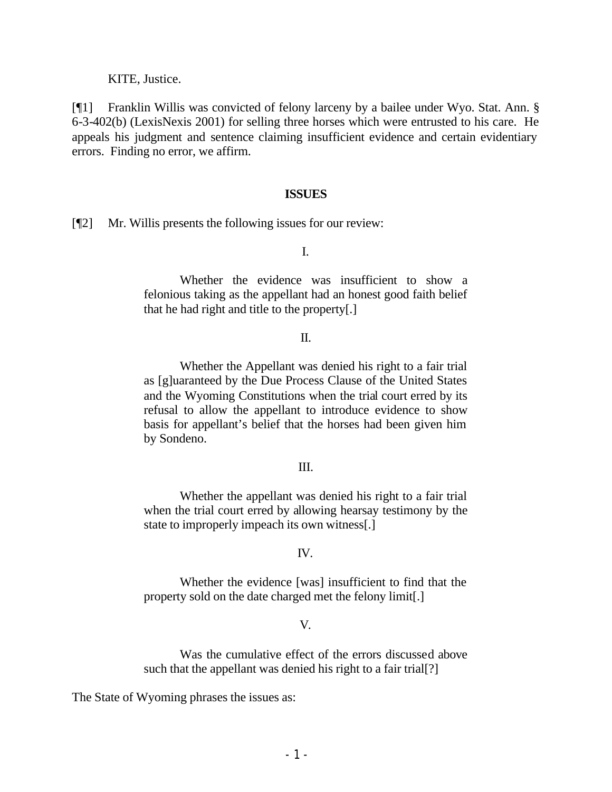KITE, Justice.

[¶1] Franklin Willis was convicted of felony larceny by a bailee under Wyo. Stat. Ann. § 6-3-402(b) (LexisNexis 2001) for selling three horses which were entrusted to his care. He appeals his judgment and sentence claiming insufficient evidence and certain evidentiary errors. Finding no error, we affirm.

#### **ISSUES**

[¶2] Mr. Willis presents the following issues for our review:

I.

Whether the evidence was insufficient to show a felonious taking as the appellant had an honest good faith belief that he had right and title to the property[.]

#### II.

Whether the Appellant was denied his right to a fair trial as [g]uaranteed by the Due Process Clause of the United States and the Wyoming Constitutions when the trial court erred by its refusal to allow the appellant to introduce evidence to show basis for appellant's belief that the horses had been given him by Sondeno.

#### III.

Whether the appellant was denied his right to a fair trial when the trial court erred by allowing hearsay testimony by the state to improperly impeach its own witness[.]

#### IV.

Whether the evidence [was] insufficient to find that the property sold on the date charged met the felony limit[.]

#### V.

Was the cumulative effect of the errors discussed above such that the appellant was denied his right to a fair trial[?]

The State of Wyoming phrases the issues as: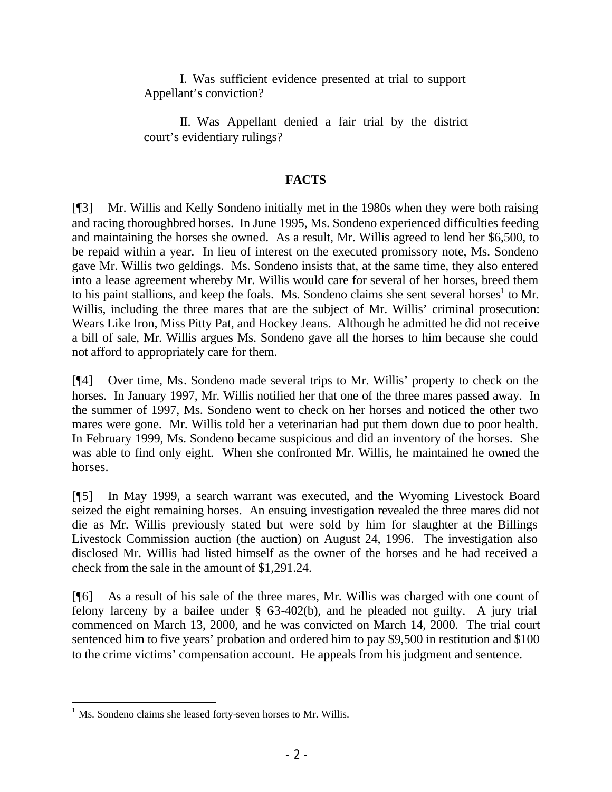I. Was sufficient evidence presented at trial to support Appellant's conviction?

II. Was Appellant denied a fair trial by the district court's evidentiary rulings?

### **FACTS**

[¶3] Mr. Willis and Kelly Sondeno initially met in the 1980s when they were both raising and racing thoroughbred horses. In June 1995, Ms. Sondeno experienced difficulties feeding and maintaining the horses she owned. As a result, Mr. Willis agreed to lend her \$6,500, to be repaid within a year. In lieu of interest on the executed promissory note, Ms. Sondeno gave Mr. Willis two geldings. Ms. Sondeno insists that, at the same time, they also entered into a lease agreement whereby Mr. Willis would care for several of her horses, breed them to his paint stallions, and keep the foals. Ms. Sondeno claims she sent several horses<sup>1</sup> to Mr. Willis, including the three mares that are the subject of Mr. Willis' criminal prosecution: Wears Like Iron, Miss Pitty Pat, and Hockey Jeans. Although he admitted he did not receive a bill of sale, Mr. Willis argues Ms. Sondeno gave all the horses to him because she could not afford to appropriately care for them.

[¶4] Over time, Ms. Sondeno made several trips to Mr. Willis' property to check on the horses. In January 1997, Mr. Willis notified her that one of the three mares passed away. In the summer of 1997, Ms. Sondeno went to check on her horses and noticed the other two mares were gone. Mr. Willis told her a veterinarian had put them down due to poor health. In February 1999, Ms. Sondeno became suspicious and did an inventory of the horses. She was able to find only eight. When she confronted Mr. Willis, he maintained he owned the horses.

[¶5] In May 1999, a search warrant was executed, and the Wyoming Livestock Board seized the eight remaining horses. An ensuing investigation revealed the three mares did not die as Mr. Willis previously stated but were sold by him for slaughter at the Billings Livestock Commission auction (the auction) on August 24, 1996. The investigation also disclosed Mr. Willis had listed himself as the owner of the horses and he had received a check from the sale in the amount of \$1,291.24.

[¶6] As a result of his sale of the three mares, Mr. Willis was charged with one count of felony larceny by a bailee under  $\S$  63-402(b), and he pleaded not guilty. A jury trial commenced on March 13, 2000, and he was convicted on March 14, 2000. The trial court sentenced him to five years' probation and ordered him to pay \$9,500 in restitution and \$100 to the crime victims' compensation account. He appeals from his judgment and sentence.

<sup>&</sup>lt;sup>1</sup> Ms. Sondeno claims she leased forty-seven horses to Mr. Willis.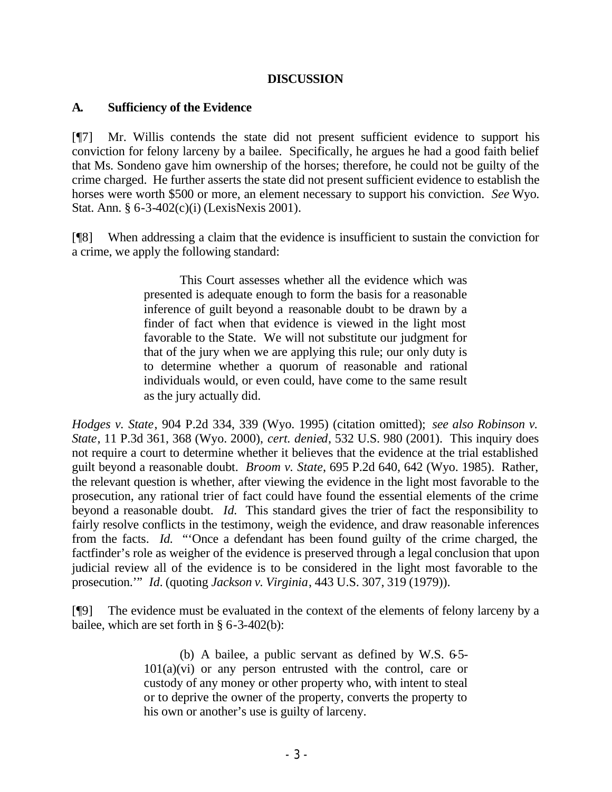### **DISCUSSION**

### **A. Sufficiency of the Evidence**

[¶7] Mr. Willis contends the state did not present sufficient evidence to support his conviction for felony larceny by a bailee. Specifically, he argues he had a good faith belief that Ms. Sondeno gave him ownership of the horses; therefore, he could not be guilty of the crime charged. He further asserts the state did not present sufficient evidence to establish the horses were worth \$500 or more, an element necessary to support his conviction. *See* Wyo. Stat. Ann. § 6-3-402(c)(i) (LexisNexis 2001).

[¶8] When addressing a claim that the evidence is insufficient to sustain the conviction for a crime, we apply the following standard:

> This Court assesses whether all the evidence which was presented is adequate enough to form the basis for a reasonable inference of guilt beyond a reasonable doubt to be drawn by a finder of fact when that evidence is viewed in the light most favorable to the State. We will not substitute our judgment for that of the jury when we are applying this rule; our only duty is to determine whether a quorum of reasonable and rational individuals would, or even could, have come to the same result as the jury actually did.

*Hodges v. State*, 904 P.2d 334, 339 (Wyo. 1995) (citation omitted); *see also Robinson v. State*, 11 P.3d 361, 368 (Wyo. 2000), *cert. denied*, 532 U.S. 980 (2001). This inquiry does not require a court to determine whether it believes that the evidence at the trial established guilt beyond a reasonable doubt. *Broom v. State*, 695 P.2d 640, 642 (Wyo. 1985). Rather, the relevant question is whether, after viewing the evidence in the light most favorable to the prosecution, any rational trier of fact could have found the essential elements of the crime beyond a reasonable doubt. *Id.* This standard gives the trier of fact the responsibility to fairly resolve conflicts in the testimony, weigh the evidence, and draw reasonable inferences from the facts. *Id.* "'Once a defendant has been found guilty of the crime charged, the factfinder's role as weigher of the evidence is preserved through a legal conclusion that upon judicial review all of the evidence is to be considered in the light most favorable to the prosecution.'" *Id.* (quoting *Jackson v. Virginia*, 443 U.S. 307, 319 (1979)).

[¶9] The evidence must be evaluated in the context of the elements of felony larceny by a bailee, which are set forth in § 6-3-402(b):

> (b) A bailee, a public servant as defined by W.S.  $65 101(a)(vi)$  or any person entrusted with the control, care or custody of any money or other property who, with intent to steal or to deprive the owner of the property, converts the property to his own or another's use is guilty of larceny.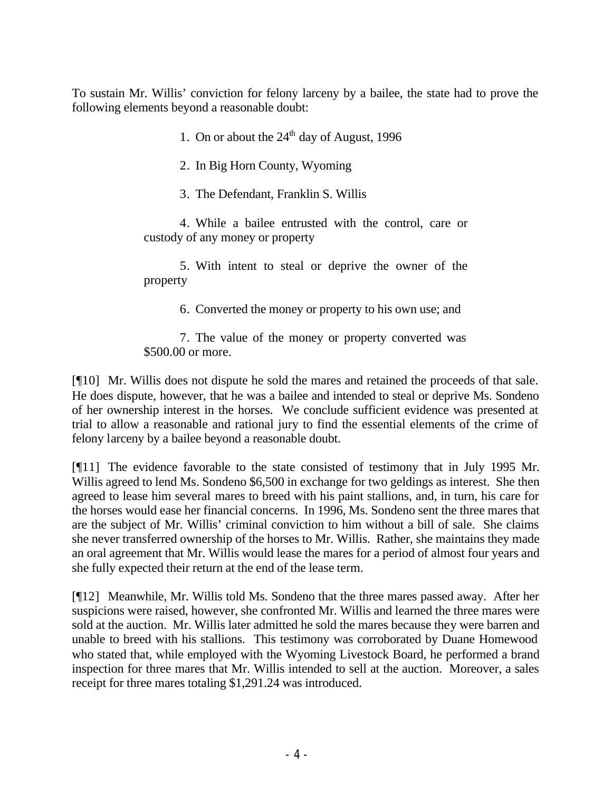To sustain Mr. Willis' conviction for felony larceny by a bailee, the state had to prove the following elements beyond a reasonable doubt:

1. On or about the  $24<sup>th</sup>$  day of August, 1996

2. In Big Horn County, Wyoming

3. The Defendant, Franklin S. Willis

4. While a bailee entrusted with the control, care or custody of any money or property

5. With intent to steal or deprive the owner of the property

6. Converted the money or property to his own use; and

7. The value of the money or property converted was \$500.00 or more.

[¶10] Mr. Willis does not dispute he sold the mares and retained the proceeds of that sale. He does dispute, however, that he was a bailee and intended to steal or deprive Ms. Sondeno of her ownership interest in the horses. We conclude sufficient evidence was presented at trial to allow a reasonable and rational jury to find the essential elements of the crime of felony larceny by a bailee beyond a reasonable doubt.

[¶11] The evidence favorable to the state consisted of testimony that in July 1995 Mr. Willis agreed to lend Ms. Sondeno \$6,500 in exchange for two geldings as interest. She then agreed to lease him several mares to breed with his paint stallions, and, in turn, his care for the horses would ease her financial concerns. In 1996, Ms. Sondeno sent the three mares that are the subject of Mr. Willis' criminal conviction to him without a bill of sale. She claims she never transferred ownership of the horses to Mr. Willis. Rather, she maintains they made an oral agreement that Mr. Willis would lease the mares for a period of almost four years and she fully expected their return at the end of the lease term.

[¶12] Meanwhile, Mr. Willis told Ms. Sondeno that the three mares passed away. After her suspicions were raised, however, she confronted Mr. Willis and learned the three mares were sold at the auction. Mr. Willis later admitted he sold the mares because they were barren and unable to breed with his stallions. This testimony was corroborated by Duane Homewood who stated that, while employed with the Wyoming Livestock Board, he performed a brand inspection for three mares that Mr. Willis intended to sell at the auction. Moreover, a sales receipt for three mares totaling \$1,291.24 was introduced.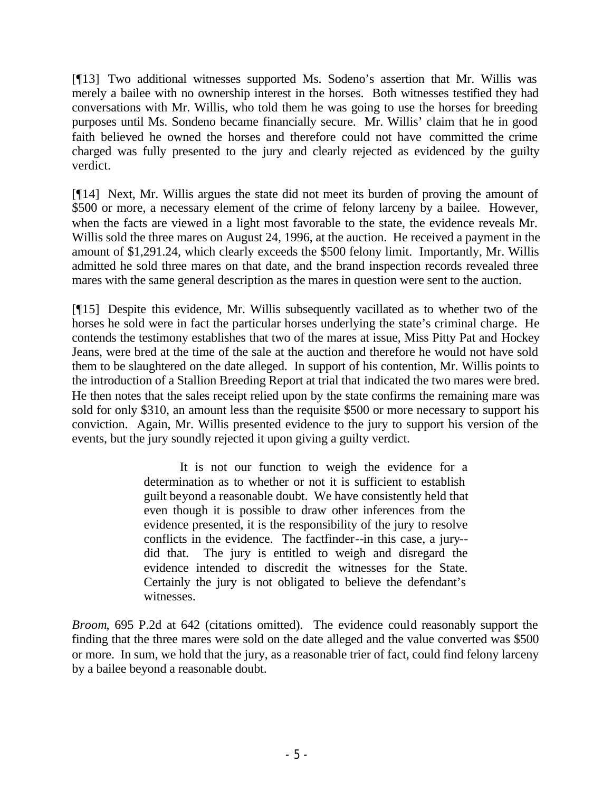[¶13] Two additional witnesses supported Ms. Sodeno's assertion that Mr. Willis was merely a bailee with no ownership interest in the horses. Both witnesses testified they had conversations with Mr. Willis, who told them he was going to use the horses for breeding purposes until Ms. Sondeno became financially secure. Mr. Willis' claim that he in good faith believed he owned the horses and therefore could not have committed the crime charged was fully presented to the jury and clearly rejected as evidenced by the guilty verdict.

[¶14] Next, Mr. Willis argues the state did not meet its burden of proving the amount of \$500 or more, a necessary element of the crime of felony larceny by a bailee. However, when the facts are viewed in a light most favorable to the state, the evidence reveals Mr. Willis sold the three mares on August 24, 1996, at the auction. He received a payment in the amount of \$1,291.24, which clearly exceeds the \$500 felony limit. Importantly, Mr. Willis admitted he sold three mares on that date, and the brand inspection records revealed three mares with the same general description as the mares in question were sent to the auction.

[¶15] Despite this evidence, Mr. Willis subsequently vacillated as to whether two of the horses he sold were in fact the particular horses underlying the state's criminal charge. He contends the testimony establishes that two of the mares at issue, Miss Pitty Pat and Hockey Jeans, were bred at the time of the sale at the auction and therefore he would not have sold them to be slaughtered on the date alleged. In support of his contention, Mr. Willis points to the introduction of a Stallion Breeding Report at trial that indicated the two mares were bred. He then notes that the sales receipt relied upon by the state confirms the remaining mare was sold for only \$310, an amount less than the requisite \$500 or more necessary to support his conviction. Again, Mr. Willis presented evidence to the jury to support his version of the events, but the jury soundly rejected it upon giving a guilty verdict.

> It is not our function to weigh the evidence for a determination as to whether or not it is sufficient to establish guilt beyond a reasonable doubt. We have consistently held that even though it is possible to draw other inferences from the evidence presented, it is the responsibility of the jury to resolve conflicts in the evidence. The factfinder--in this case, a jury- did that. The jury is entitled to weigh and disregard the evidence intended to discredit the witnesses for the State. Certainly the jury is not obligated to believe the defendant's witnesses.

*Broom*, 695 P.2d at 642 (citations omitted). The evidence could reasonably support the finding that the three mares were sold on the date alleged and the value converted was \$500 or more. In sum, we hold that the jury, as a reasonable trier of fact, could find felony larceny by a bailee beyond a reasonable doubt.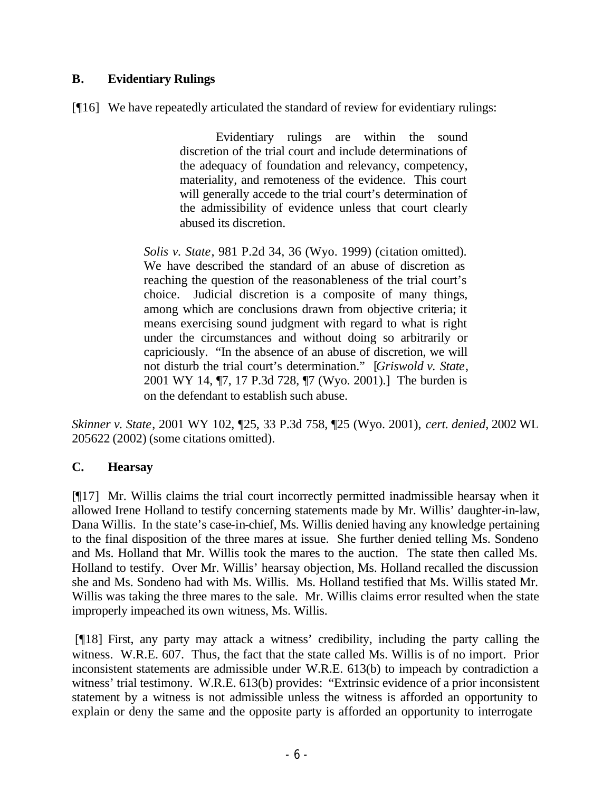## **B. Evidentiary Rulings**

[¶16] We have repeatedly articulated the standard of review for evidentiary rulings:

Evidentiary rulings are within the sound discretion of the trial court and include determinations of the adequacy of foundation and relevancy, competency, materiality, and remoteness of the evidence. This court will generally accede to the trial court's determination of the admissibility of evidence unless that court clearly abused its discretion.

*Solis v. State*, 981 P.2d 34, 36 (Wyo. 1999) (citation omitted). We have described the standard of an abuse of discretion as reaching the question of the reasonableness of the trial court's choice. Judicial discretion is a composite of many things, among which are conclusions drawn from objective criteria; it means exercising sound judgment with regard to what is right under the circumstances and without doing so arbitrarily or capriciously. "In the absence of an abuse of discretion, we will not disturb the trial court's determination." [*Griswold v. State*, 2001 WY 14, ¶7, 17 P.3d 728, ¶7 (Wyo. 2001).] The burden is on the defendant to establish such abuse.

*Skinner v. State*, 2001 WY 102, ¶25, 33 P.3d 758, ¶25 (Wyo. 2001), *cert. denied*, 2002 WL 205622 (2002) (some citations omitted).

### **C. Hearsay**

[¶17] Mr. Willis claims the trial court incorrectly permitted inadmissible hearsay when it allowed Irene Holland to testify concerning statements made by Mr. Willis' daughter-in-law, Dana Willis. In the state's case-in-chief, Ms. Willis denied having any knowledge pertaining to the final disposition of the three mares at issue. She further denied telling Ms. Sondeno and Ms. Holland that Mr. Willis took the mares to the auction. The state then called Ms. Holland to testify. Over Mr. Willis' hearsay objection, Ms. Holland recalled the discussion she and Ms. Sondeno had with Ms. Willis. Ms. Holland testified that Ms. Willis stated Mr. Willis was taking the three mares to the sale. Mr. Willis claims error resulted when the state improperly impeached its own witness, Ms. Willis.

 [¶18] First, any party may attack a witness' credibility, including the party calling the witness. W.R.E. 607. Thus, the fact that the state called Ms. Willis is of no import. Prior inconsistent statements are admissible under W.R.E. 613(b) to impeach by contradiction a witness' trial testimony. W.R.E. 613(b) provides: "Extrinsic evidence of a prior inconsistent statement by a witness is not admissible unless the witness is afforded an opportunity to explain or deny the same and the opposite party is afforded an opportunity to interrogate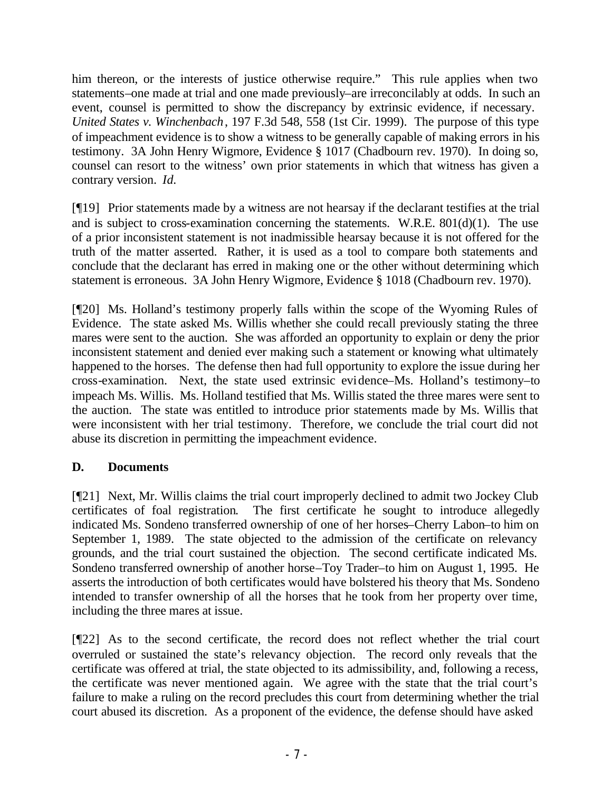him thereon, or the interests of justice otherwise require." This rule applies when two statements–one made at trial and one made previously–are irreconcilably at odds. In such an event, counsel is permitted to show the discrepancy by extrinsic evidence, if necessary. *United States v. Winchenbach*, 197 F.3d 548, 558 (1st Cir. 1999). The purpose of this type of impeachment evidence is to show a witness to be generally capable of making errors in his testimony. 3A John Henry Wigmore, Evidence § 1017 (Chadbourn rev. 1970). In doing so, counsel can resort to the witness' own prior statements in which that witness has given a contrary version. *Id.*

[¶19] Prior statements made by a witness are not hearsay if the declarant testifies at the trial and is subject to cross-examination concerning the statements. W.R.E. 801(d)(1). The use of a prior inconsistent statement is not inadmissible hearsay because it is not offered for the truth of the matter asserted. Rather, it is used as a tool to compare both statements and conclude that the declarant has erred in making one or the other without determining which statement is erroneous. 3A John Henry Wigmore, Evidence § 1018 (Chadbourn rev. 1970).

[¶20] Ms. Holland's testimony properly falls within the scope of the Wyoming Rules of Evidence. The state asked Ms. Willis whether she could recall previously stating the three mares were sent to the auction. She was afforded an opportunity to explain or deny the prior inconsistent statement and denied ever making such a statement or knowing what ultimately happened to the horses. The defense then had full opportunity to explore the issue during her cross-examination. Next, the state used extrinsic evidence–Ms. Holland's testimony–to impeach Ms. Willis. Ms. Holland testified that Ms. Willis stated the three mares were sent to the auction. The state was entitled to introduce prior statements made by Ms. Willis that were inconsistent with her trial testimony. Therefore, we conclude the trial court did not abuse its discretion in permitting the impeachment evidence.

## **D. Documents**

[¶21] Next, Mr. Willis claims the trial court improperly declined to admit two Jockey Club certificates of foal registration. The first certificate he sought to introduce allegedly indicated Ms. Sondeno transferred ownership of one of her horses–Cherry Labon–to him on September 1, 1989. The state objected to the admission of the certificate on relevancy grounds, and the trial court sustained the objection. The second certificate indicated Ms. Sondeno transferred ownership of another horse–Toy Trader–to him on August 1, 1995. He asserts the introduction of both certificates would have bolstered his theory that Ms. Sondeno intended to transfer ownership of all the horses that he took from her property over time, including the three mares at issue.

[¶22] As to the second certificate, the record does not reflect whether the trial court overruled or sustained the state's relevancy objection. The record only reveals that the certificate was offered at trial, the state objected to its admissibility, and, following a recess, the certificate was never mentioned again. We agree with the state that the trial court's failure to make a ruling on the record precludes this court from determining whether the trial court abused its discretion. As a proponent of the evidence, the defense should have asked